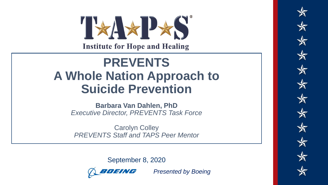**Institute for Hope and Healing** 

## **A Whole Nation Approach to PREVENTS Suicide Prevention**

**Barbara Van Dahlen, PhD** *Executive Director, PREVENTS Task Force*

UGIORIT UUTU Y<br>DDEVENITO OLOH OPAL TA DO DOOR MORLOR Carolyn Colley *PREVENTS Staff and TAPS Peer Mentor*

MEMORIAL DAY WEEKEND | MAY 2018

September 8, 2020



*Presented by Boeing*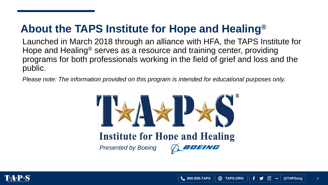### **About the TAPS Institute for Hope and Healing®**

Launched in March 2018 through an alliance with HFA, the TAPS Institute for Hope and Healing® serves as a resource and training center, providing programs for both professionals working in the field of grief and loss and the public.

*Please note: The information provided on this program is intended for educational purposes only.*



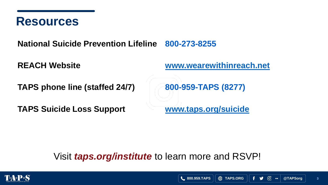

**National Suicide Prevention Lifeline 800-273-8255**

**REACH Website [www.wearewithinreach.net](http://www.wearewithinreach.net/)**

**TAPS phone line (staffed 24/7) 800-959-TAPS (8277)**

**TAPS Suicide Loss Support [www.taps.org/suicide](http://www.taps.org/suicide)**

Visit *taps.org/institute* to learn more and RSVP!



**3**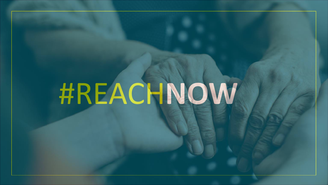# #REACH**NOW**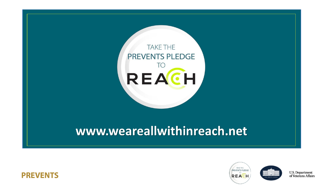

### www.weareallwithinreach.net





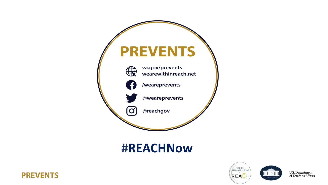

#### **#REACHNow**





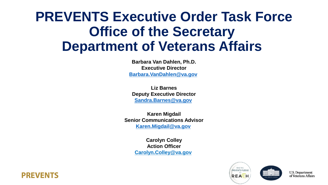## **PREVENTS Executive Order Task Force Office of the Secretary Department of Veterans Affairs**

**Barbara Van Dahlen, Ph.D. Executive Director [Barbara.VanDahlen@va.gov](mailto:Barbara.VanDahlen@va.gov)**

**Liz Barnes Deputy Executive Director [Sandra.Barnes@va.gov](mailto:Sandra.Barnes@va.gov)**

**Karen Migdail Senior Communications Advisor [Karen.Migdail@va.gov](mailto:Karen.Migdail@va.gov)**

> **Carolyn Colley Action Officer [Carolyn.Colley@va.gov](mailto:Christopher.Olson3@va.gov)**





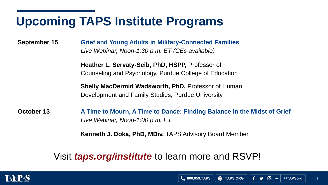## **Upcoming TAPS Institute Programs**

**September 15 Grief and Young Adults in Military-Connected Families** *Live Webinar, Noon-1:30 p.m. ET (CEs available)*

> **Heather L. Servaty-Seib, PhD, HSPP,** Professor of Counseling and Psychology, Purdue College of Education

**Shelly MacDermid Wadsworth, PhD,** Professor of Human Development and Family Studies, Purdue University

**October 13 A Time to Mourn, A Time to Dance: Finding Balance in the Midst of Grief** *Live Webinar, Noon-1:00 p.m. ET*

**Kenneth J. Doka, PhD, MDiv,** TAPS Advisory Board Member

#### Visit *taps.org/institute* to learn more and RSVP!



**8**